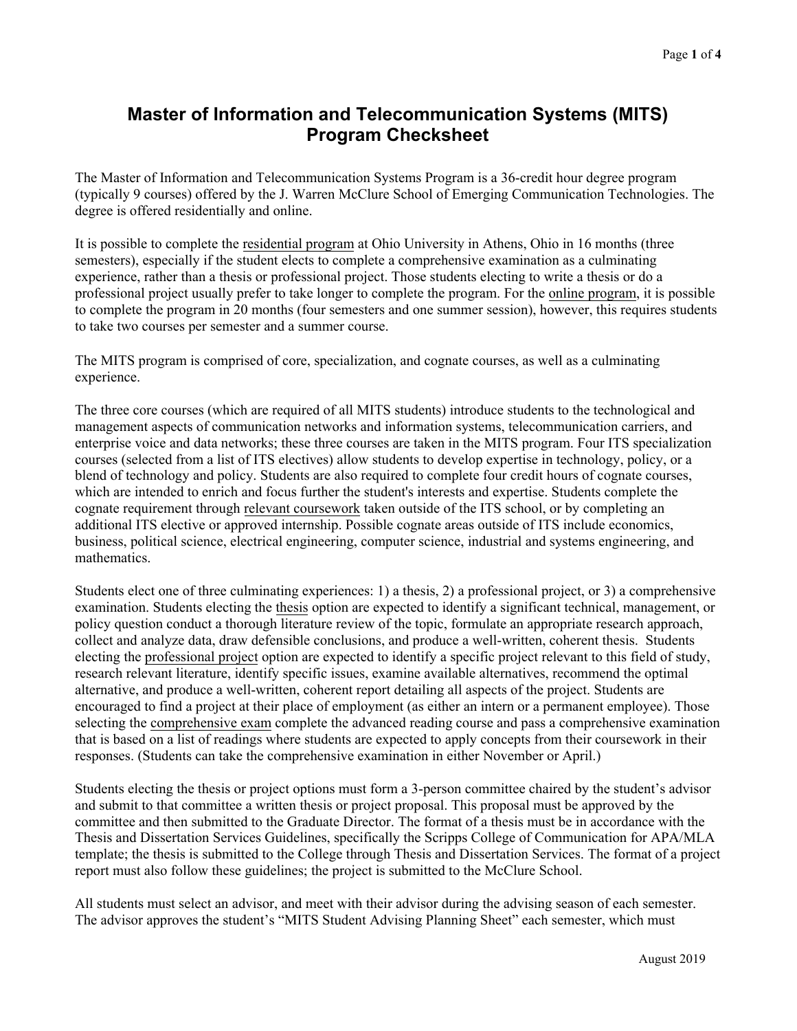# **Master of Information and Telecommunication Systems (MITS) Program Checksheet**

The Master of Information and Telecommunication Systems Program is a 36-credit hour degree program (typically 9 courses) offered by the J. Warren McClure School of Emerging Communication Technologies. The degree is offered residentially and online.

It is possible to complete the residential program at Ohio University in Athens, Ohio in 16 months (three semesters), especially if the student elects to complete a comprehensive examination as a culminating experience, rather than a thesis or professional project. Those students electing to write a thesis or do a professional project usually prefer to take longer to complete the program. For the online program, it is possible to complete the program in 20 months (four semesters and one summer session), however, this requires students to take two courses per semester and a summer course.

The MITS program is comprised of core, specialization, and cognate courses, as well as a culminating experience.

The three core courses (which are required of all MITS students) introduce students to the technological and management aspects of communication networks and information systems, telecommunication carriers, and enterprise voice and data networks; these three courses are taken in the MITS program. Four ITS specialization courses (selected from a list of ITS electives) allow students to develop expertise in technology, policy, or a blend of technology and policy. Students are also required to complete four credit hours of cognate courses, which are intended to enrich and focus further the student's interests and expertise. Students complete the cognate requirement through relevant coursework taken outside of the ITS school, or by completing an additional ITS elective or approved internship. Possible cognate areas outside of ITS include economics, business, political science, electrical engineering, computer science, industrial and systems engineering, and mathematics.

Students elect one of three culminating experiences: 1) a thesis, 2) a professional project, or 3) a comprehensive examination. Students electing the thesis option are expected to identify a significant technical, management, or policy question conduct a thorough literature review of the topic, formulate an appropriate research approach, collect and analyze data, draw defensible conclusions, and produce a well-written, coherent thesis. Students electing the professional project option are expected to identify a specific project relevant to this field of study, research relevant literature, identify specific issues, examine available alternatives, recommend the optimal alternative, and produce a well-written, coherent report detailing all aspects of the project. Students are encouraged to find a project at their place of employment (as either an intern or a permanent employee). Those selecting the comprehensive exam complete the advanced reading course and pass a comprehensive examination that is based on a list of readings where students are expected to apply concepts from their coursework in their responses. (Students can take the comprehensive examination in either November or April.)

Students electing the thesis or project options must form a 3-person committee chaired by the student's advisor and submit to that committee a written thesis or project proposal. This proposal must be approved by the committee and then submitted to the Graduate Director. The format of a thesis must be in accordance with the Thesis and Dissertation Services Guidelines, specifically the Scripps College of Communication for APA/MLA template; the thesis is submitted to the College through Thesis and Dissertation Services. The format of a project report must also follow these guidelines; the project is submitted to the McClure School.

All students must select an advisor, and meet with their advisor during the advising season of each semester. The advisor approves the student's "MITS Student Advising Planning Sheet" each semester, which must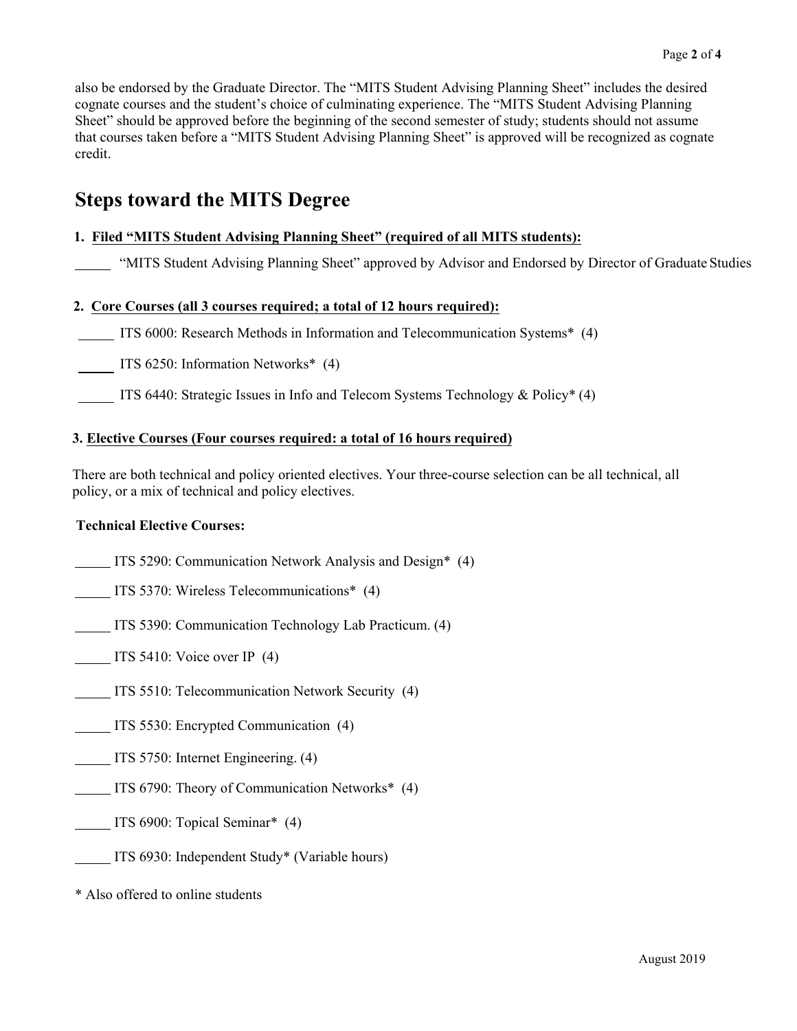also be endorsed by the Graduate Director. The "MITS Student Advising Planning Sheet" includes the desired cognate courses and the student's choice of culminating experience. The "MITS Student Advising Planning Sheet" should be approved before the beginning of the second semester of study; students should not assume that courses taken before a "MITS Student Advising Planning Sheet" is approved will be recognized as cognate credit.

# **Steps toward the MITS Degree**

## **1. Filed "MITS Student Advising Planning Sheet" (required of all MITS students):**

"MITS Student Advising Planning Sheet" approved by Advisor and Endorsed by Director of Graduate Studies

## **2. Core Courses (all 3 courses required; a total of 12 hours required):**

ITS 6000: Research Methods in Information and Telecommunication Systems\* (4)

ITS 6250: Information Networks\* (4)

ITS 6440: Strategic Issues in Info and Telecom Systems Technology  $& Policy^*(4)$ 

## **3. Elective Courses (Four courses required: a total of 16 hours required)**

There are both technical and policy oriented electives. Your three-course selection can be all technical, all policy, or a mix of technical and policy electives.

## **Technical Elective Courses:**

- ITS 5290: Communication Network Analysis and Design\* (4)
- ITS 5370: Wireless Telecommunications\* (4)
- ITS 5390: Communication Technology Lab Practicum. (4)
- $\overline{\phantom{0}}$  ITS 5410: Voice over IP (4)
- ITS 5510: Telecommunication Network Security (4)
- ITS 5530: Encrypted Communication (4)
- ITS 5750: Internet Engineering. (4)
- ITS 6790: Theory of Communication Networks\* (4)
- ITS 6900: Topical Seminar\* (4)
- ITS 6930: Independent Study\* (Variable hours)
- \* Also offered to online students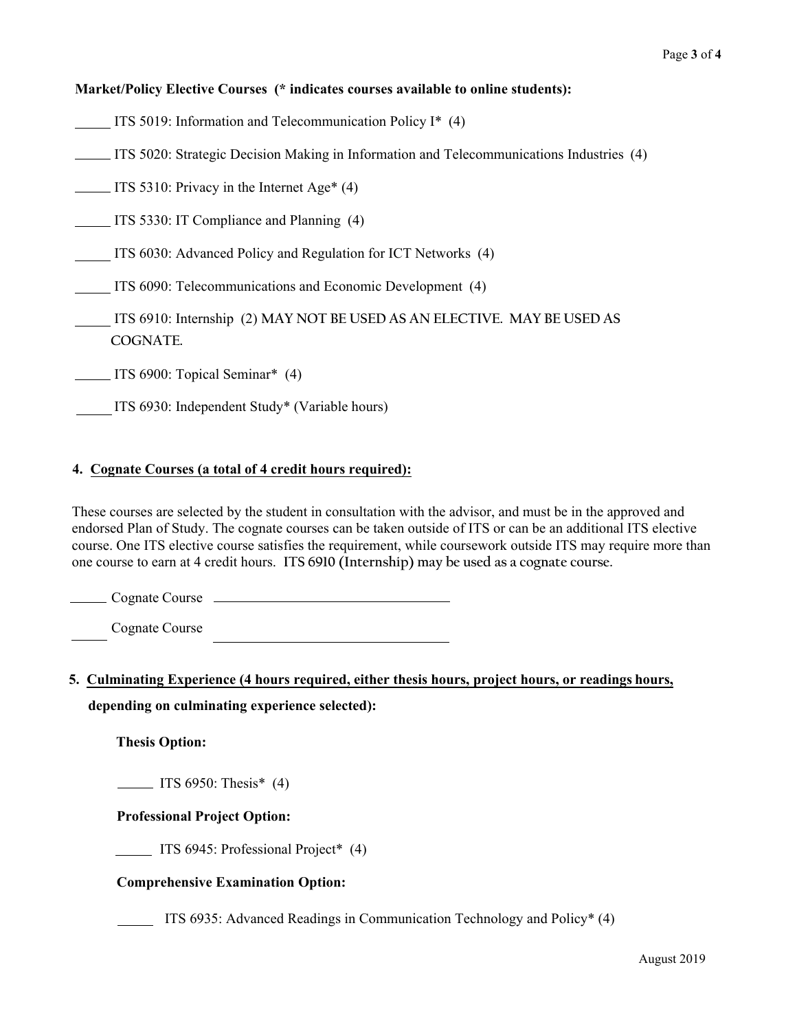## **Market/Policy Elective Courses (\* indicates courses available to online students):**

ITS 5019: Information and Telecommunication Policy I\* (4)

ITS 5020: Strategic Decision Making in Information and Telecommunications Industries (4)

 $\frac{1}{15}$  ITS 5310: Privacy in the Internet Age\* (4)

ITS 5330: IT Compliance and Planning (4)

ITS 6030: Advanced Policy and Regulation for ICT Networks (4)

ITS 6090: Telecommunications and Economic Development (4)

 ITS 6910: Internship (2) **MAY NOT BE USED AS AN ELECTIVE. MAY BE USED AS COGNATE.**

 $\frac{1}{11}$  ITS 6900: Topical Seminar\* (4)

ITS 6930: Independent Study\* (Variable hours)

## **4. Cognate Courses (a total of 4 credit hours required):**

These courses are selected by the student in consultation with the advisor, and must be in the approved and endorsed Plan of Study. The cognate courses can be taken outside of ITS or can be an additional ITS elective course. One ITS elective course satisfies the requirement, while coursework outside ITS may require more than one course to earn at 4 credit hours. **ITS 6910 (Internship) may be used as a cognate course.**

Cognate Course

Cognate Course

**5. Culminating Experience (4 hours required, either thesis hours, project hours, or readings hours, depending on culminating experience selected):**

**Thesis Option:** 

 $\frac{1}{11}$  ITS 6950: Thesis<sup>\*</sup> (4)

## **Professional Project Option:**

**ITS 6945: Professional Project\*** (4)

## **Comprehensive Examination Option:**

ITS 6935: Advanced Readings in Communication Technology and Policy\* (4)